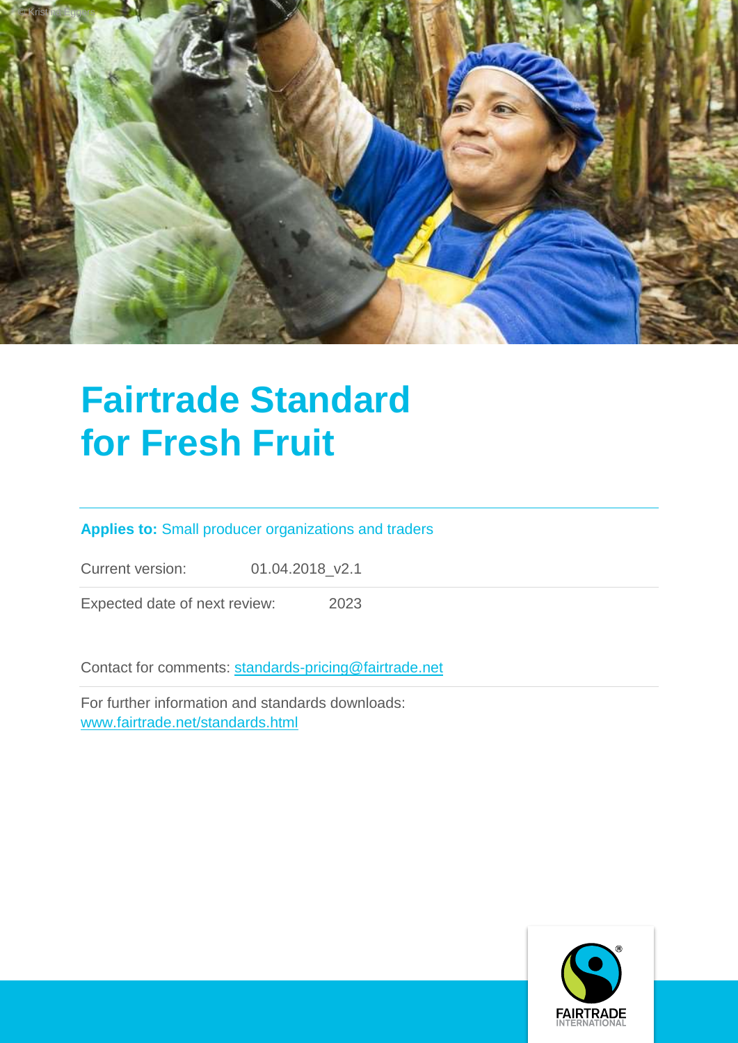

# **Fairtrade Standard for Fresh Fruit**

# **Applies to:** Small producer organizations and traders

Current version: 01.04.2018\_v2.1

Expected date of next review: 2023

Contact for comments: [standards-pricing@fairtrade.net](mailto:standards-pricing@fairtrade.net)

For further information and standards downloads: [www.fairtrade.net/standards.html](http://www.fairtrade.net/standards.html)

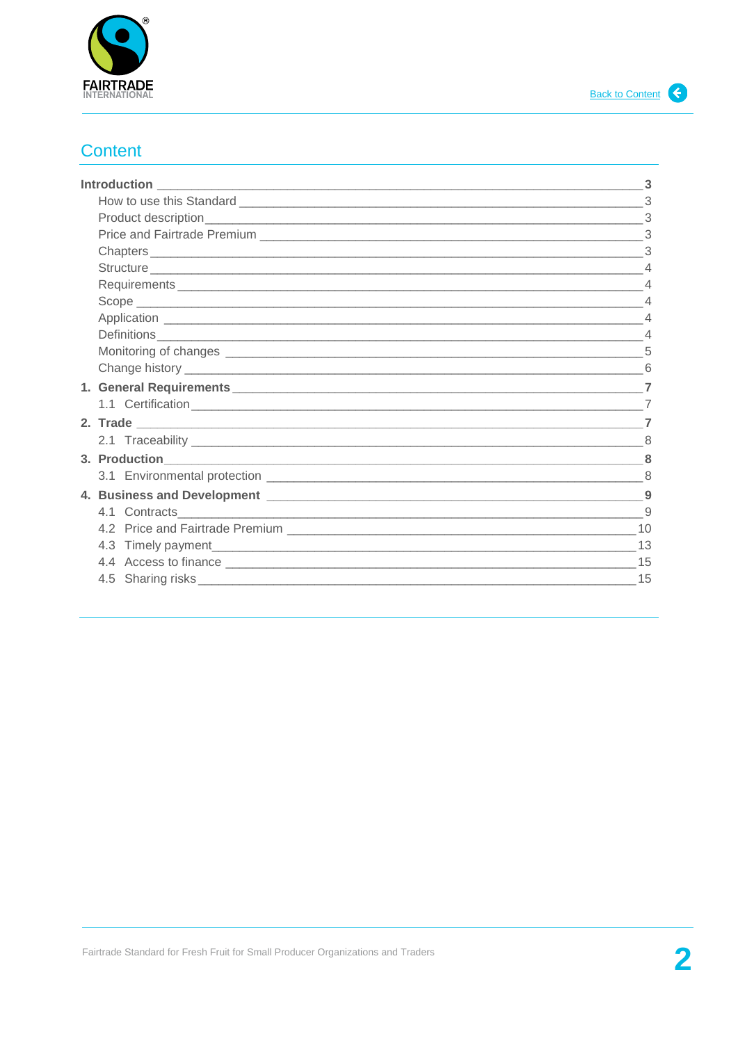

# <span id="page-1-0"></span>**Content**

|               | $\mathcal{R}$  |
|---------------|----------------|
|               |                |
|               |                |
|               |                |
|               |                |
| Definitions 4 |                |
|               |                |
|               |                |
|               |                |
|               | $\overline{7}$ |
|               |                |
|               |                |
|               |                |
|               |                |
|               |                |
|               |                |
|               |                |
|               |                |
|               |                |
|               |                |
|               |                |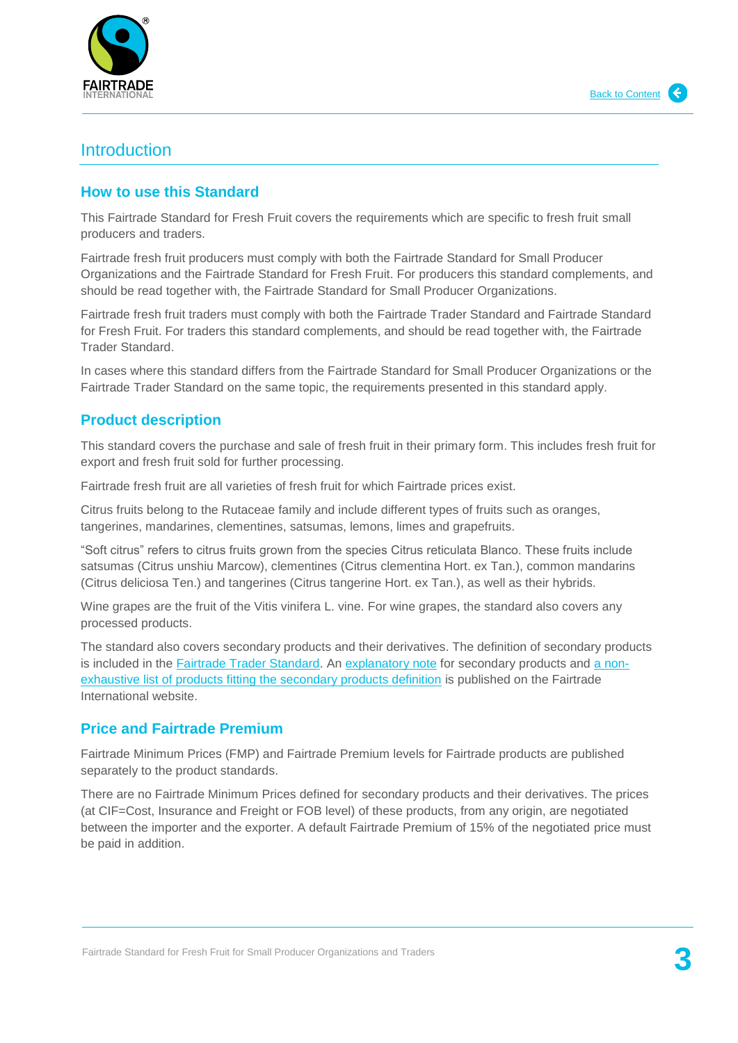

# <span id="page-2-0"></span>Introduction

### <span id="page-2-1"></span>**How to use this Standard**

This Fairtrade Standard for Fresh Fruit covers the requirements which are specific to fresh fruit small producers and traders.

Fairtrade fresh fruit producers must comply with both the Fairtrade Standard for Small Producer Organizations and the Fairtrade Standard for Fresh Fruit. For producers this standard complements, and should be read together with, the Fairtrade Standard for Small Producer Organizations.

Fairtrade fresh fruit traders must comply with both the Fairtrade Trader Standard and Fairtrade Standard for Fresh Fruit. For traders this standard complements, and should be read together with, the Fairtrade Trader Standard.

In cases where this standard differs from the Fairtrade Standard for Small Producer Organizations or the Fairtrade Trader Standard on the same topic, the requirements presented in this standard apply.

# <span id="page-2-2"></span>**Product description**

This standard covers the purchase and sale of fresh fruit in their primary form. This includes fresh fruit for export and fresh fruit sold for further processing.

Fairtrade fresh fruit are all varieties of fresh fruit for which Fairtrade prices exist.

Citrus fruits belong to the Rutaceae family and include different types of fruits such as oranges, tangerines, mandarines, clementines, satsumas, lemons, limes and grapefruits.

"Soft citrus" refers to citrus fruits grown from the species Citrus reticulata Blanco. These fruits include satsumas (Citrus unshiu Marcow), clementines (Citrus clementina Hort. ex Tan.), common mandarins (Citrus deliciosa Ten.) and tangerines (Citrus tangerine Hort. ex Tan.), as well as their hybrids.

Wine grapes are the fruit of the Vitis vinifera L. vine. For wine grapes, the standard also covers any processed products.

The standard also covers secondary products and their derivatives. The definition of secondary products is included in the [Fairtrade Trader Standard.](https://www.fairtrade.net/fileadmin/user_upload/content/2009/standards/documents/generic-standards/TS_EN.pdf) An [explanatory note](https://www.fairtrade.net/fileadmin/user_upload/content/2009/standards/documents/2012-02-02_Explanatory_Note_Secondary_products.pdf) for secondary products and [a non](https://www.fairtrade.net/fileadmin/user_upload/content/2009/standards/documents/2014-12-03_Fairtrade_Secondary_products_list.pdf)[exhaustive list of products fitting the secondary products definition](https://www.fairtrade.net/fileadmin/user_upload/content/2009/standards/documents/2014-12-03_Fairtrade_Secondary_products_list.pdf) is published on the Fairtrade International website.

## <span id="page-2-3"></span>**Price and Fairtrade Premium**

Fairtrade Minimum Prices (FMP) and Fairtrade Premium levels for Fairtrade products are published separately to the product standards.

<span id="page-2-5"></span><span id="page-2-4"></span>There are no Fairtrade Minimum Prices defined for secondary products and their derivatives. The prices (at CIF=Cost, Insurance and Freight or FOB level) of these products, from any origin, are negotiated between the importer and the exporter. A default Fairtrade Premium of 15% of the negotiated price must be paid in addition.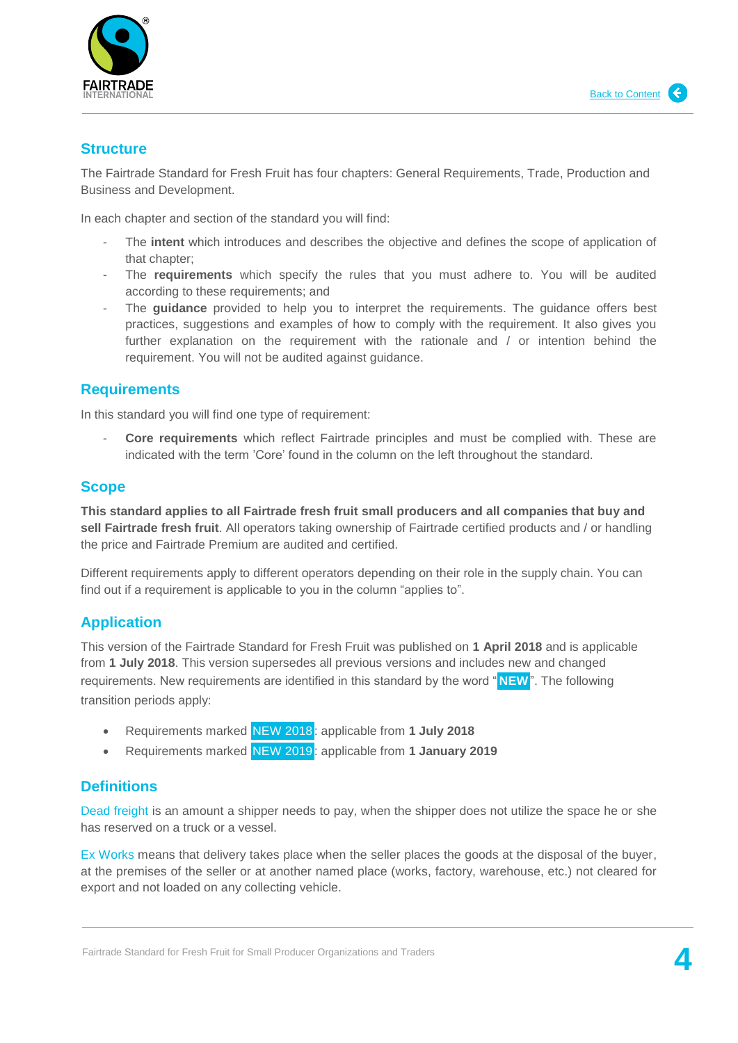

#### **Structure**

The Fairtrade Standard for Fresh Fruit has four chapters: General Requirements, Trade, Production and Business and Development.

In each chapter and section of the standard you will find:

- The **intent** which introduces and describes the objective and defines the scope of application of that chapter;
- The **requirements** which specify the rules that you must adhere to. You will be audited according to these requirements; and
- The **quidance** provided to help you to interpret the requirements. The quidance offers best practices, suggestions and examples of how to comply with the requirement. It also gives you further explanation on the requirement with the rationale and / or intention behind the requirement. You will not be audited against guidance.

# <span id="page-3-0"></span>**Requirements**

In this standard you will find one type of requirement:

- **Core requirements** which reflect Fairtrade principles and must be complied with. These are indicated with the term 'Core' found in the column on the left throughout the standard.

### <span id="page-3-1"></span>**Scope**

**This standard applies to all Fairtrade fresh fruit small producers and all companies that buy and sell Fairtrade fresh fruit**. All operators taking ownership of Fairtrade certified products and / or handling the price and Fairtrade Premium are audited and certified.

Different requirements apply to different operators depending on their role in the supply chain. You can find out if a requirement is applicable to you in the column "applies to".

## <span id="page-3-2"></span>**Application**

This version of the Fairtrade Standard for Fresh Fruit was published on **1 April 2018** and is applicable from **1 July 2018**. This version supersedes all previous versions and includes new and changed requirements. New requirements are identified in this standard by the word " **NEW**". The following transition periods apply:

- Requirements marked NEW 2018 : applicable from **1 July 2018**
- Requirements marked NEW 2019 : applicable from **1 January 2019**

# <span id="page-3-3"></span>**Definitions**

Dead freight is an amount a shipper needs to pay, when the shipper does not utilize the space he or she has reserved on a truck or a vessel.

Ex Works means that delivery takes place when the seller places the goods at the disposal of the buyer, at the premises of the seller or at another named place (works, factory, warehouse, etc.) not cleared for export and not loaded on any collecting vehicle.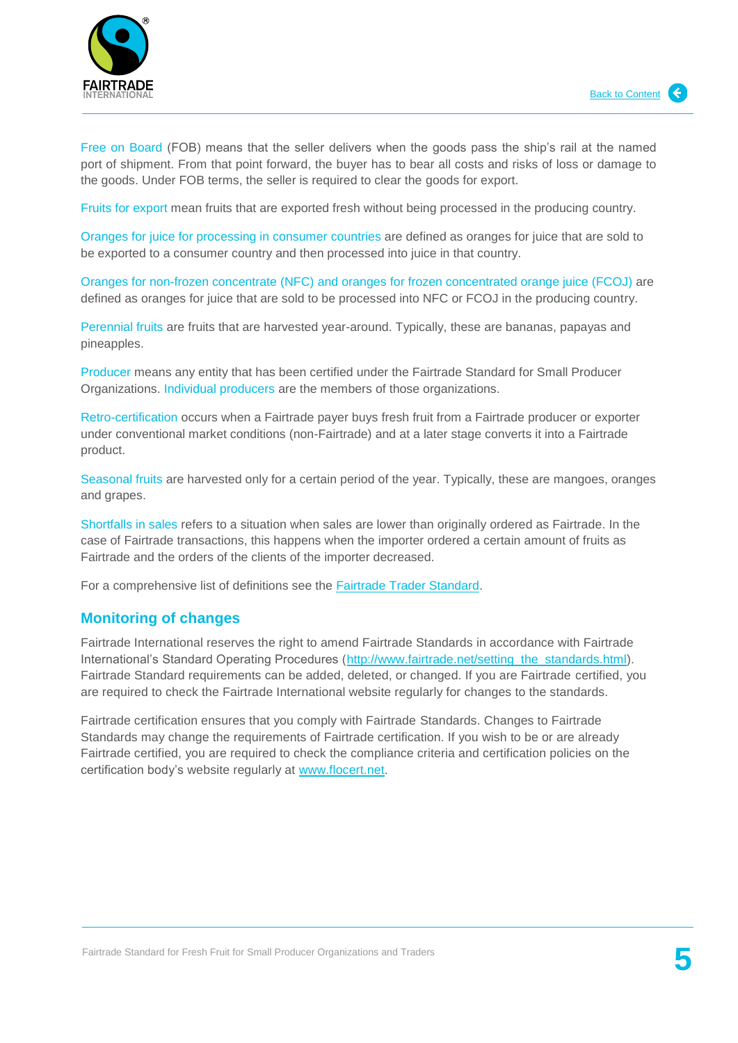



Free on Board (FOB) means that the seller delivers when the goods pass the ship's rail at the named port of shipment. From that point forward, the buyer has to bear all costs and risks of loss or damage to the goods. Under FOB terms, the seller is required to clear the goods for export.

Fruits for export mean fruits that are exported fresh without being processed in the producing country.

Oranges for juice for processing in consumer countries are defined as oranges for juice that are sold to be exported to a consumer country and then processed into juice in that country.

Oranges for non-frozen concentrate (NFC) and oranges for frozen concentrated orange juice (FCOJ) are defined as oranges for juice that are sold to be processed into NFC or FCOJ in the producing country.

Perennial fruits are fruits that are harvested year-around. Typically, these are bananas, papayas and pineapples.

Producer means any entity that has been certified under the Fairtrade Standard for Small Producer Organizations. Individual producers are the members of those organizations.

Retro-certification occurs when a Fairtrade payer buys fresh fruit from a Fairtrade producer or exporter under conventional market conditions (non-Fairtrade) and at a later stage converts it into a Fairtrade product.

Seasonal fruits are harvested only for a certain period of the year. Typically, these are mangoes, oranges and grapes.

Shortfalls in sales refers to a situation when sales are lower than originally ordered as Fairtrade. In the case of Fairtrade transactions, this happens when the importer ordered a certain amount of fruits as Fairtrade and the orders of the clients of the importer decreased.

For a comprehensive list of definitions see the [Fairtrade Trader Standard.](http://www.fairtrade.net/fileadmin/user_upload/content/2009/standards/documents/generic-standards/TS_EN.pdf)

#### <span id="page-4-0"></span>**Monitoring of changes**

Fairtrade International reserves the right to amend Fairtrade Standards in accordance with Fairtrade International's Standard Operating Procedures [\(http://www.fairtrade.net/setting\\_the\\_standards.html\)](http://www.fairtrade.net/setting_the_standards.html). Fairtrade Standard requirements can be added, deleted, or changed. If you are Fairtrade certified, you are required to check the Fairtrade International website regularly for changes to the standards.

<span id="page-4-1"></span>Fairtrade certification ensures that you comply with Fairtrade Standards. Changes to Fairtrade Standards may change the requirements of Fairtrade certification. If you wish to be or are already Fairtrade certified, you are required to check the compliance criteria and certification policies on the certification body's website regularly at [www.flocert.net.](http://www.flocert.net/)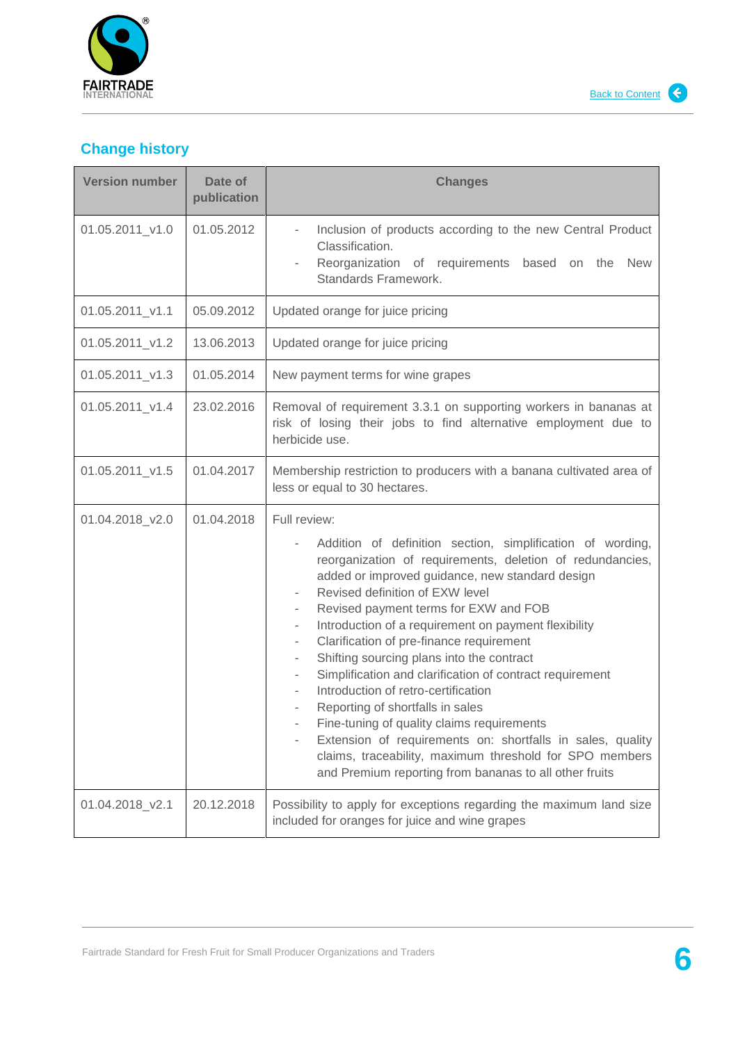

# **Change history**

| <b>Version number</b> | Date of<br>publication | <b>Changes</b>                                                                                                                                                                                                                                                                                                                                                                                                                                                                                                                                                                                                                                                                                                                                                                                                                                                                           |
|-----------------------|------------------------|------------------------------------------------------------------------------------------------------------------------------------------------------------------------------------------------------------------------------------------------------------------------------------------------------------------------------------------------------------------------------------------------------------------------------------------------------------------------------------------------------------------------------------------------------------------------------------------------------------------------------------------------------------------------------------------------------------------------------------------------------------------------------------------------------------------------------------------------------------------------------------------|
| 01.05.2011_v1.0       | 01.05.2012             | Inclusion of products according to the new Central Product<br>$\overline{\phantom{a}}$<br>Classification.<br>Reorganization of requirements based<br>on the<br><b>New</b><br>Standards Framework.                                                                                                                                                                                                                                                                                                                                                                                                                                                                                                                                                                                                                                                                                        |
| 01.05.2011_v1.1       | 05.09.2012             | Updated orange for juice pricing                                                                                                                                                                                                                                                                                                                                                                                                                                                                                                                                                                                                                                                                                                                                                                                                                                                         |
| 01.05.2011_v1.2       | 13.06.2013             | Updated orange for juice pricing                                                                                                                                                                                                                                                                                                                                                                                                                                                                                                                                                                                                                                                                                                                                                                                                                                                         |
| 01.05.2011_v1.3       | 01.05.2014             | New payment terms for wine grapes                                                                                                                                                                                                                                                                                                                                                                                                                                                                                                                                                                                                                                                                                                                                                                                                                                                        |
| 01.05.2011_v1.4       | 23.02.2016             | Removal of requirement 3.3.1 on supporting workers in bananas at<br>risk of losing their jobs to find alternative employment due to<br>herbicide use.                                                                                                                                                                                                                                                                                                                                                                                                                                                                                                                                                                                                                                                                                                                                    |
| 01.05.2011_v1.5       | 01.04.2017             | Membership restriction to producers with a banana cultivated area of<br>less or equal to 30 hectares.                                                                                                                                                                                                                                                                                                                                                                                                                                                                                                                                                                                                                                                                                                                                                                                    |
| 01.04.2018_v2.0       | 01.04.2018             | Full review:<br>Addition of definition section, simplification of wording,<br>reorganization of requirements, deletion of redundancies,<br>added or improved guidance, new standard design<br>Revised definition of EXW level<br>Revised payment terms for EXW and FOB<br>۰<br>Introduction of a requirement on payment flexibility<br>$\overline{\phantom{a}}$<br>Clarification of pre-finance requirement<br>Shifting sourcing plans into the contract<br>$\overline{\phantom{a}}$<br>Simplification and clarification of contract requirement<br>$\overline{\phantom{a}}$<br>Introduction of retro-certification<br>Reporting of shortfalls in sales<br>Fine-tuning of quality claims requirements<br>Extension of requirements on: shortfalls in sales, quality<br>claims, traceability, maximum threshold for SPO members<br>and Premium reporting from bananas to all other fruits |
| 01.04.2018_v2.1       | 20.12.2018             | Possibility to apply for exceptions regarding the maximum land size<br>included for oranges for juice and wine grapes                                                                                                                                                                                                                                                                                                                                                                                                                                                                                                                                                                                                                                                                                                                                                                    |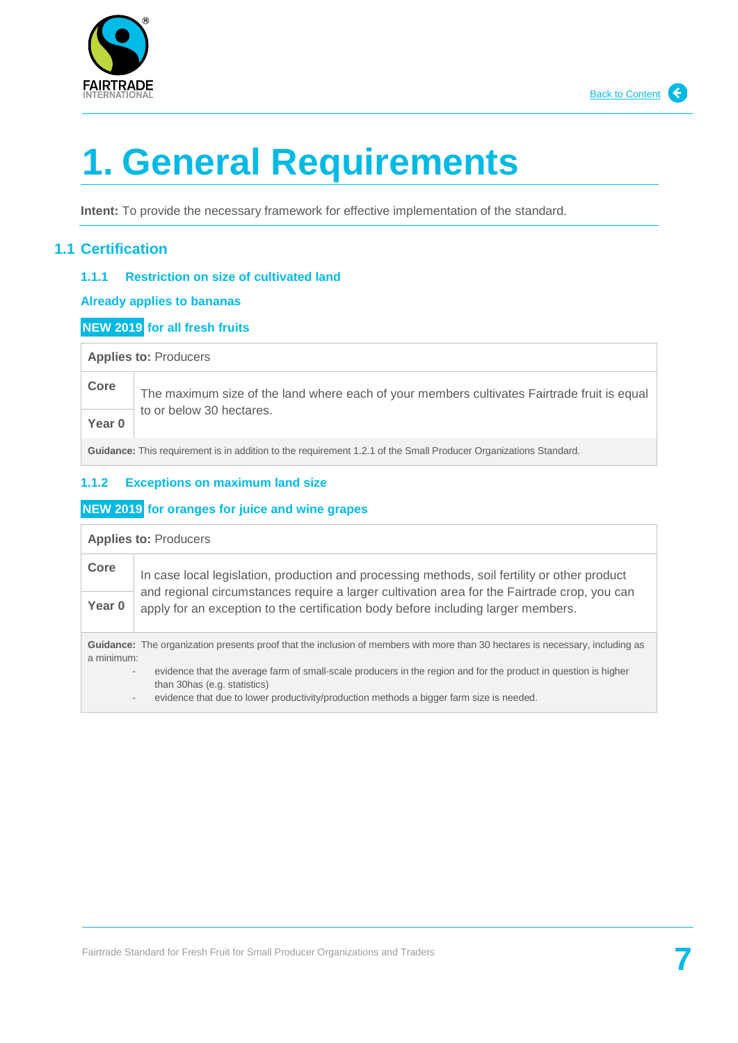



# <span id="page-6-0"></span>**1. General Requirements**

<span id="page-6-1"></span>**Intent:** To provide the necessary framework for effective implementation of the standard.

## **1.1 Certification**

#### **1.1.1 Restriction on size of cultivated land**

#### **Already applies to bananas**

#### **NEW 2019 for all fresh fruits**

#### **Applies to:** Producers

# **Core** The maximum size of the land where each of your members cultivates Fairtrade fruit is equal to or below 30 hectares.

**Year 0**

**Guidance:** This requirement is in addition to the requirement 1.2.1 of the Small Producer Organizations Standard.

#### <span id="page-6-2"></span>**1.1.2 Exceptions on maximum land size**

#### **NEW 2019 for oranges for juice and wine grapes**

| <b>Applies to: Producers</b>                                                                                                                       |                                                                                                                                                                                                                                                                                                      |
|----------------------------------------------------------------------------------------------------------------------------------------------------|------------------------------------------------------------------------------------------------------------------------------------------------------------------------------------------------------------------------------------------------------------------------------------------------------|
| Core                                                                                                                                               | In case local legislation, production and processing methods, soil fertility or other product                                                                                                                                                                                                        |
| Year 0                                                                                                                                             | and regional circumstances require a larger cultivation area for the Fairtrade crop, you can<br>apply for an exception to the certification body before including larger members.                                                                                                                    |
| <b>Guidance:</b> The organization presents proof that the inclusion of members with more than 30 hectares is necessary, including as<br>a minimum: |                                                                                                                                                                                                                                                                                                      |
|                                                                                                                                                    | evidence that the average farm of small-scale producers in the region and for the product in question is higher<br>$\overline{\phantom{a}}$<br>than 30 has (e.g. statistics)<br>evidence that due to lower productivity/production methods a bigger farm size is needed.<br>$\overline{\phantom{a}}$ |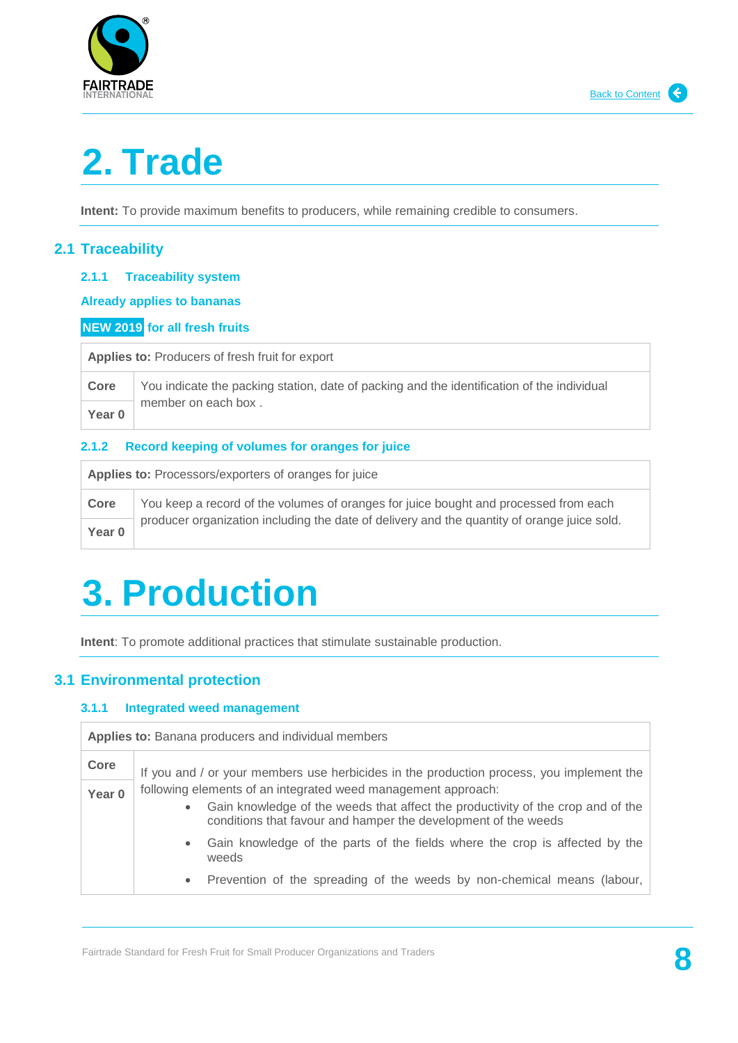

# **2. Trade**

**Intent:** To provide maximum benefits to producers, while remaining credible to consumers.

# <span id="page-7-0"></span>**2.1 Traceability**

#### **2.1.1 Traceability system**

**Already applies to bananas**

#### **NEW 2019 for all fresh fruits**

**Applies to:** Producers of fresh fruit for export

| Core   | You indicate the packing station, date of packing and the identification of the individual |
|--------|--------------------------------------------------------------------------------------------|
| Year 0 | member on each box.                                                                        |

#### **2.1.2 Record keeping of volumes for oranges for juice**

| <b>Applies to: Processors/exporters of oranges for juice</b> |                                                                                             |
|--------------------------------------------------------------|---------------------------------------------------------------------------------------------|
| Core                                                         | You keep a record of the volumes of oranges for juice bought and processed from each        |
| Year 0                                                       | producer organization including the date of delivery and the quantity of orange juice sold. |

# <span id="page-7-1"></span>**3. Production**

**Intent**: To promote additional practices that stimulate sustainable production.

## <span id="page-7-2"></span>**3.1 Environmental protection**

#### **3.1.1 Integrated weed management**

| <b>Applies to:</b> Banana producers and individual members |                                                                                                                                                                                                                    |
|------------------------------------------------------------|--------------------------------------------------------------------------------------------------------------------------------------------------------------------------------------------------------------------|
| Core                                                       | If you and / or your members use herbicides in the production process, you implement the                                                                                                                           |
| Year <sub>0</sub>                                          | following elements of an integrated weed management approach:<br>Gain knowledge of the weeds that affect the productivity of the crop and of the<br>conditions that favour and hamper the development of the weeds |
|                                                            | Gain knowledge of the parts of the fields where the crop is affected by the<br>weeds                                                                                                                               |
|                                                            | Prevention of the spreading of the weeds by non-chemical means (labour,                                                                                                                                            |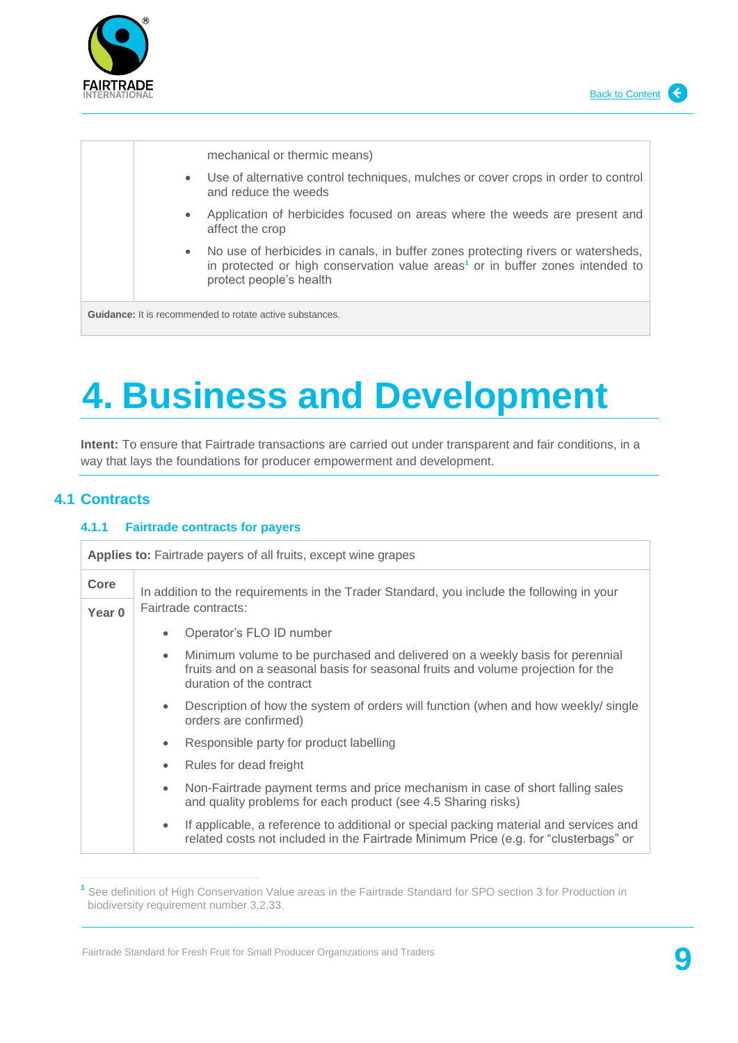



# <span id="page-8-0"></span>**4. Business and Development**

**Intent:** To ensure that Fairtrade transactions are carried out under transparent and fair conditions, in a way that lays the foundations for producer empowerment and development.

# <span id="page-8-1"></span>**4.1 Contracts**

#### **4.1.1 Fairtrade contracts for payers**

| <b>Applies to:</b> Fairtrade payers of all fruits, except wine grapes |                                                                                                                                                                                                           |  |
|-----------------------------------------------------------------------|-----------------------------------------------------------------------------------------------------------------------------------------------------------------------------------------------------------|--|
| Core                                                                  | In addition to the requirements in the Trader Standard, you include the following in your<br>Fairtrade contracts:                                                                                         |  |
| Year <sub>0</sub>                                                     |                                                                                                                                                                                                           |  |
|                                                                       | Operator's FLO ID number<br>$\bullet$                                                                                                                                                                     |  |
|                                                                       | Minimum volume to be purchased and delivered on a weekly basis for perennial<br>$\bullet$<br>fruits and on a seasonal basis for seasonal fruits and volume projection for the<br>duration of the contract |  |
|                                                                       | Description of how the system of orders will function (when and how weekly/single<br>$\bullet$<br>orders are confirmed)                                                                                   |  |
|                                                                       | Responsible party for product labelling<br>$\bullet$                                                                                                                                                      |  |
|                                                                       | Rules for dead freight<br>$\bullet$                                                                                                                                                                       |  |
|                                                                       | Non-Fairtrade payment terms and price mechanism in case of short falling sales<br>$\bullet$<br>and quality problems for each product (see 4.5 Sharing risks)                                              |  |
|                                                                       | If applicable, a reference to additional or special packing material and services and<br>$\bullet$<br>related costs not included in the Fairtrade Minimum Price (e.g. for "clusterbags" or                |  |

**<sup>1</sup>** See definition of High Conservation Value areas in the Fairtrade Standard for SPO section 3 for Production in biodiversity requirement number 3.2.33.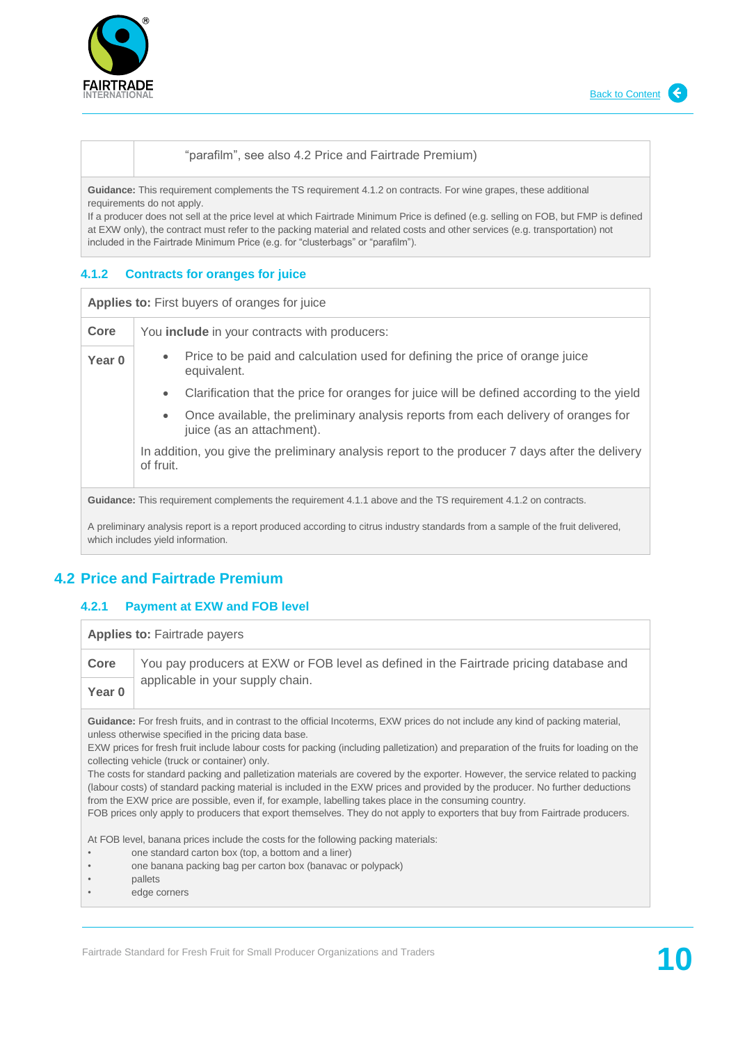



#### "parafilm", see also 4.2 Price and Fairtrade Premium)

**Guidance:** This requirement complements the TS requirement 4.1.2 on contracts. For wine grapes, these additional requirements do not apply.

If a producer does not sell at the price level at which Fairtrade Minimum Price is defined (e.g. selling on FOB, but FMP is defined at EXW only), the contract must refer to the packing material and related costs and other services (e.g. transportation) not included in the Fairtrade Minimum Price (e.g. for "clusterbags" or "parafilm").

#### **4.1.2 Contracts for oranges for juice**

| <b>Applies to:</b> First buyers of oranges for juice                                                                            |                                                                                                                 |
|---------------------------------------------------------------------------------------------------------------------------------|-----------------------------------------------------------------------------------------------------------------|
| Core                                                                                                                            | You <b>include</b> in your contracts with producers:                                                            |
| Year 0                                                                                                                          | Price to be paid and calculation used for defining the price of orange juice<br>۰<br>equivalent.                |
|                                                                                                                                 | Clarification that the price for oranges for juice will be defined according to the yield<br>$\bullet$          |
|                                                                                                                                 | Once available, the preliminary analysis reports from each delivery of oranges for<br>juice (as an attachment). |
|                                                                                                                                 | In addition, you give the preliminary analysis report to the producer 7 days after the delivery<br>of fruit.    |
| Guidance: This requirement complements the requirement 4.1.1 above and the TS requirement 4.1.2 on contracts.                   |                                                                                                                 |
| A preliminary analysis report is a report produced according to citrus industry standards from a sample of the fruit delivered. |                                                                                                                 |

<span id="page-9-0"></span>A preliminary analysis report is a report produced according to citrus industry standards from a sample of the fruit delivered, which includes yield information.

# **4.2 Price and Fairtrade Premium**

#### **4.2.1 Payment at EXW and FOB level**

**Applies to:** Fairtrade payers

**Core** You pay producers at EXW or FOB level as defined in the Fairtrade pricing database and applicable in your supply chain. **Year 0**

**Guidance:** For fresh fruits, and in contrast to the official Incoterms, EXW prices do not include any kind of packing material, unless otherwise specified in the pricing data base.

EXW prices for fresh fruit include labour costs for packing (including palletization) and preparation of the fruits for loading on the collecting vehicle (truck or container) only.

The costs for standard packing and palletization materials are covered by the exporter. However, the service related to packing (labour costs) of standard packing material is included in the EXW prices and provided by the producer. No further deductions from the EXW price are possible, even if, for example, labelling takes place in the consuming country.

FOB prices only apply to producers that export themselves. They do not apply to exporters that buy from Fairtrade producers.

At FOB level, banana prices include the costs for the following packing materials:

- one standard carton box (top, a bottom and a liner)
- one banana packing bag per carton box (banavac or polypack)
- pallets
- edge corners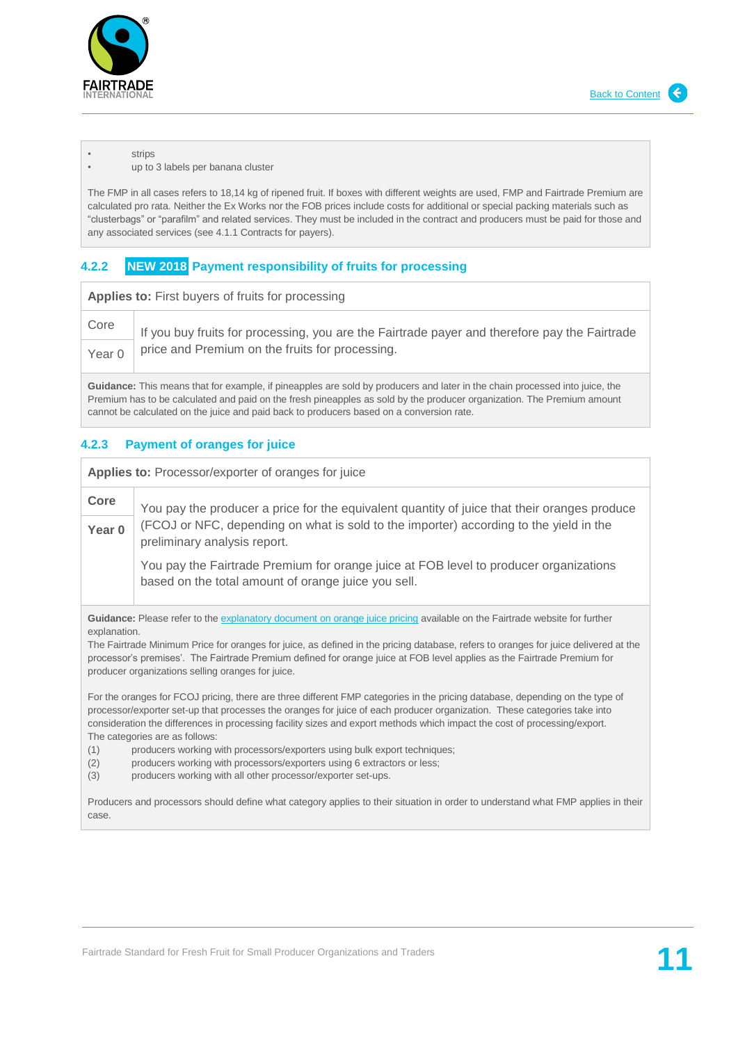

#### **strips**

up to 3 labels per banana cluster

The FMP in all cases refers to 18,14 kg of ripened fruit. If boxes with different weights are used, FMP and Fairtrade Premium are calculated pro rata. Neither the Ex Works nor the FOB prices include costs for additional or special packing materials such as "clusterbags" or "parafilm" and related services. They must be included in the contract and producers must be paid for those and any associated services (see 4.1.1 Contracts for payers).

#### **4.2.2 NEW 2018 Payment responsibility of fruits for processing**

**Applies to:** First buyers of fruits for processing

| Core | If you buy fruits for processing, you are the Fairtrade payer and therefore pay the Fairtrade<br>Year $0$   price and Premium on the fruits for processing. |
|------|-------------------------------------------------------------------------------------------------------------------------------------------------------------|
|      |                                                                                                                                                             |

**Guidance:** This means that for example, if pineapples are sold by producers and later in the chain processed into juice, the Premium has to be calculated and paid on the fresh pineapples as sold by the producer organization. The Premium amount cannot be calculated on the juice and paid back to producers based on a conversion rate.

#### **4.2.3 Payment of oranges for juice**

**Applies to:** Processor/exporter of oranges for juice

**Core** You pay the producer a price for the equivalent quantity of juice that their oranges produce (FCOJ or NFC, depending on what is sold to the importer) according to the yield in the preliminary analysis report. **Year 0**

You pay the Fairtrade Premium for orange juice at FOB level to producer organizations based on the total amount of orange juice you sell.

**Guidance:** Please refer to th[e explanatory document on orange juice pricing](https://www.fairtrade.net/fileadmin/user_upload/content/2009/standards/documents/2013-6-13_EN_OrangeJuicePricing_ExplanatoryDocument.pdf) available on the Fairtrade website for further explanation.

The Fairtrade Minimum Price for oranges for juice, as defined in the pricing database, refers to oranges for juice delivered at the processor's premises'. The Fairtrade Premium defined for orange juice at FOB level applies as the Fairtrade Premium for producer organizations selling oranges for juice.

For the oranges for FCOJ pricing, there are three different FMP categories in the pricing database, depending on the type of processor/exporter set-up that processes the oranges for juice of each producer organization. These categories take into consideration the differences in processing facility sizes and export methods which impact the cost of processing/export. The categories are as follows:

(1) producers working with processors/exporters using bulk export techniques;

- (2) producers working with processors/exporters using 6 extractors or less;
- (3) producers working with all other processor/exporter set-ups.

Producers and processors should define what category applies to their situation in order to understand what FMP applies in their case.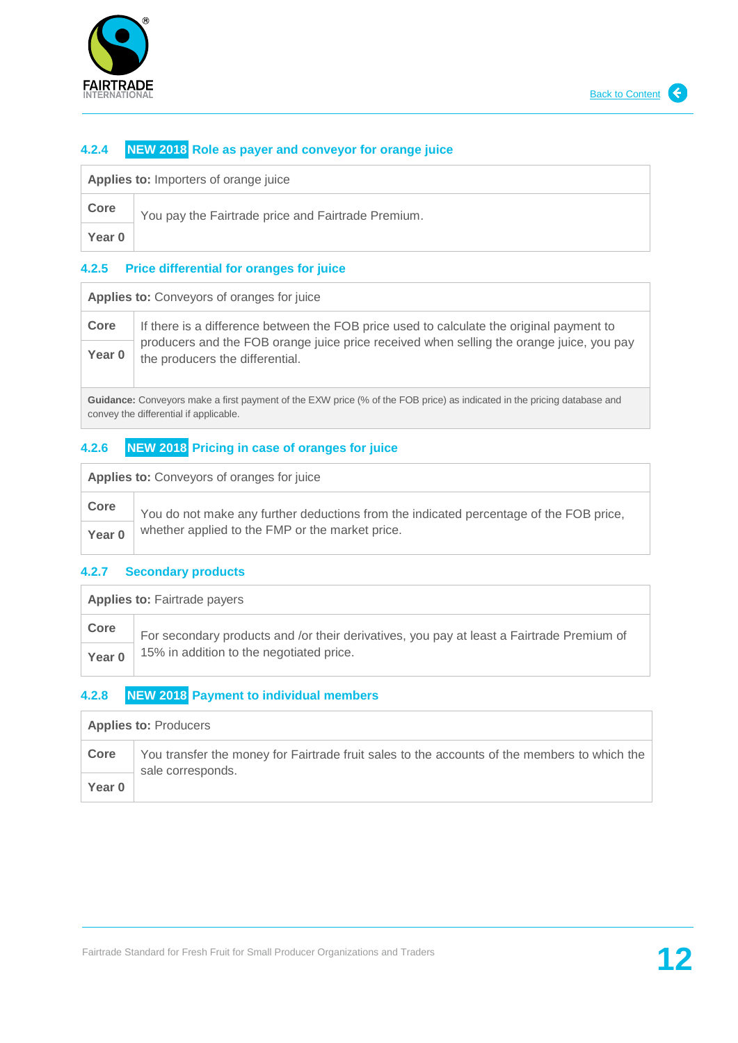

### **4.2.4 NEW 2018 Role as payer and conveyor for orange juice**

| Applies to: Importers of orange juice |  |
|---------------------------------------|--|
|---------------------------------------|--|

| Core   | You pay the Fairtrade price and Fairtrade Premium. |
|--------|----------------------------------------------------|
| Year 0 |                                                    |

#### **4.2.5 Price differential for oranges for juice**

**Applies to:** Conveyors of oranges for juice

| Core   | If there is a difference between the FOB price used to calculate the original payment to                                    |
|--------|-----------------------------------------------------------------------------------------------------------------------------|
| Year 0 | producers and the FOB orange juice price received when selling the orange juice, you pay<br>the producers the differential. |

**Guidance:** Conveyors make a first payment of the EXW price (% of the FOB price) as indicated in the pricing database and convey the differential if applicable.

### **4.2.6 NEW 2018 Pricing in case of oranges for juice**

|  |  | Applies to: Conveyors of oranges for juice |
|--|--|--------------------------------------------|
|--|--|--------------------------------------------|

| Core   | You do not make any further deductions from the indicated percentage of the FOB price, |
|--------|----------------------------------------------------------------------------------------|
| Year 0 | whether applied to the FMP or the market price.                                        |

#### **4.2.7 Secondary products**

| <b>Applies to: Fairtrade payers</b> |                                                                                           |
|-------------------------------------|-------------------------------------------------------------------------------------------|
| Core                                | For secondary products and /or their derivatives, you pay at least a Fairtrade Premium of |
| Year 0                              | 15% in addition to the negotiated price.                                                  |

#### **4.2.8 NEW 2018 Payment to individual members**

| <b>Applies to: Producers</b> |                                                                                                                   |
|------------------------------|-------------------------------------------------------------------------------------------------------------------|
| Core                         | You transfer the money for Fairtrade fruit sales to the accounts of the members to which the<br>sale corresponds. |
| Year 0                       |                                                                                                                   |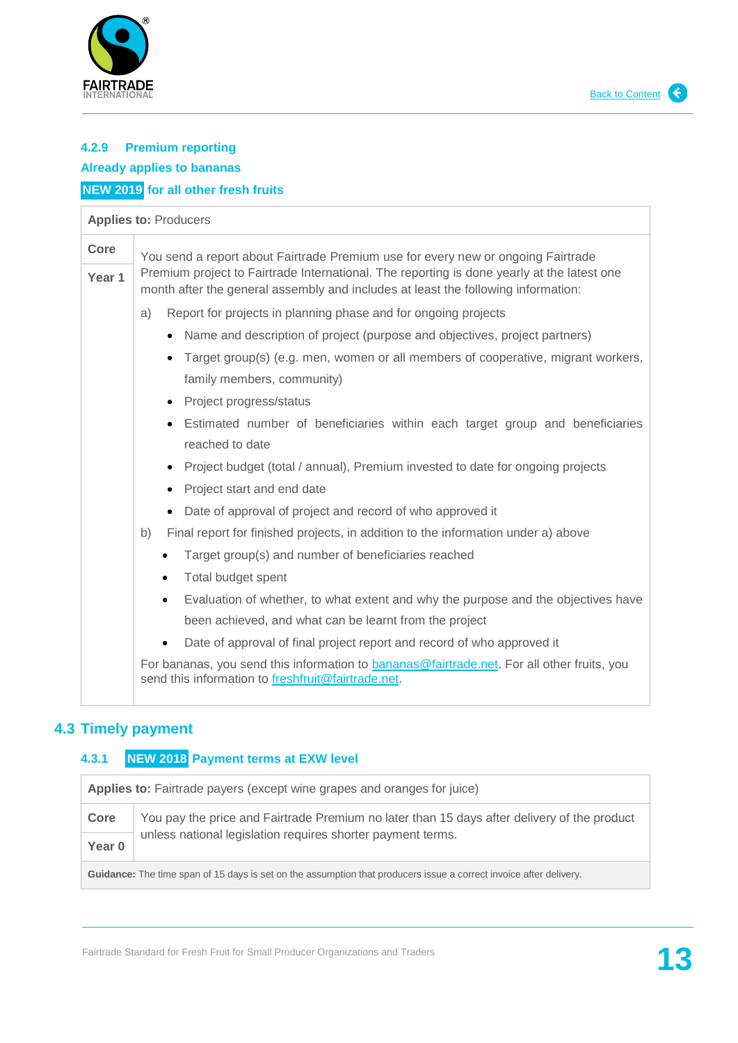



# **4.2.9 Premium reporting Already applies to bananas NEW 2019 for all other fresh fruits**

# **Applies to:** Producers **Core** You send a report about Fairtrade Premium use for every new or ongoing Fairtrade Premium project to Fairtrade International. The reporting is done yearly at the latest one month after the general assembly and includes at least the following information: a) Report for projects in planning phase and for ongoing projects • Name and description of project (purpose and objectives, project partners) Target group(s) (e.g. men, women or all members of cooperative, migrant workers, family members, community) • Project progress/status Estimated number of beneficiaries within each target group and beneficiaries reached to date • Project budget (total / annual), Premium invested to date for ongoing projects **Year 1**

- Project start and end date
- Date of approval of project and record of who approved it
- b) Final report for finished projects, in addition to the information under a) above
	- Target group(s) and number of beneficiaries reached
	- Total budget spent
	- Evaluation of whether, to what extent and why the purpose and the objectives have been achieved, and what can be learnt from the project
	- Date of approval of final project report and record of who approved it

For bananas, you send this information to [bananas@fairtrade.net.](mailto:bananas@fairtrade.net) For all other fruits, you send this information to [freshfruit@fairtrade.net.](mailto:freshfruit@fairtrade.net)

# <span id="page-12-0"></span>**4.3 Timely payment**

## **4.3.1 NEW 2018 Payment terms at EXW level**

| Applies to: Fairtrade payers (except wine grapes and oranges for juice)                                                   |                                                                                             |
|---------------------------------------------------------------------------------------------------------------------------|---------------------------------------------------------------------------------------------|
| Core                                                                                                                      | You pay the price and Fairtrade Premium no later than 15 days after delivery of the product |
| Year 0                                                                                                                    | unless national legislation requires shorter payment terms.                                 |
| <b>Guidance:</b> The time span of 15 days is set on the assumption that producers issue a correct invoice after delivery. |                                                                                             |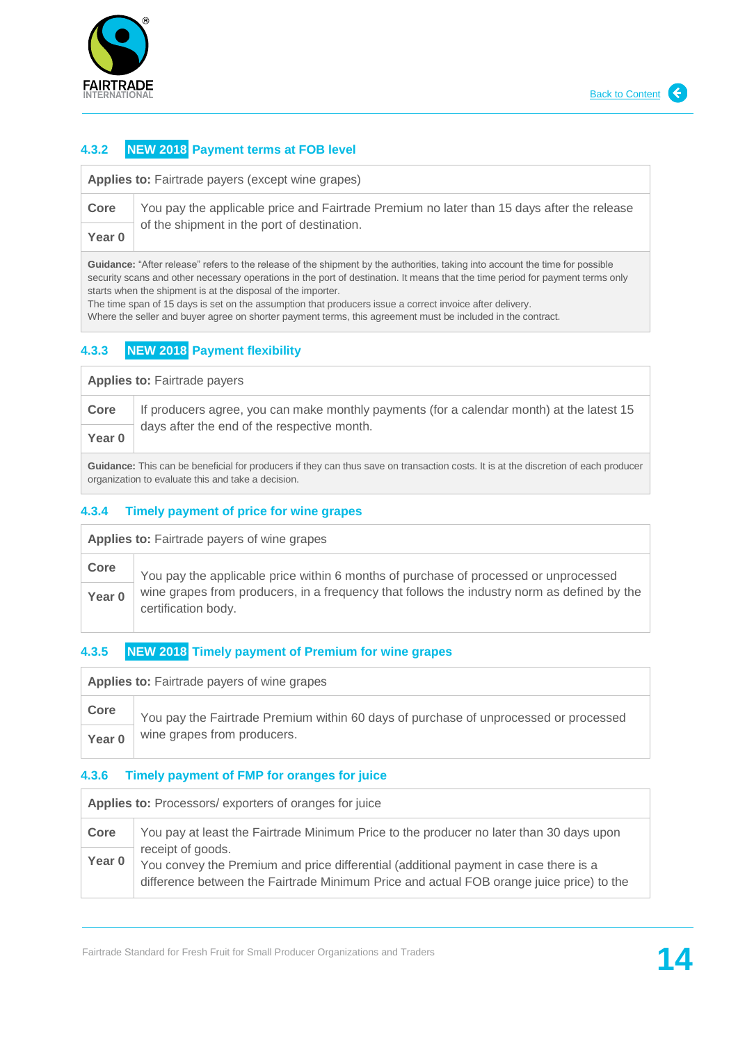

## **4.3.2 NEW 2018 Payment terms at FOB level**

**Applies to:** Fairtrade payers (except wine grapes)

| Core       | You pay the applicable price and Fairtrade Premium no later than 15 days after the release |
|------------|--------------------------------------------------------------------------------------------|
| $V \sim V$ | $\dagger$ of the shipment in the port of destination.                                      |

**Year 0**

**Guidance:** "After release" refers to the release of the shipment by the authorities, taking into account the time for possible security scans and other necessary operations in the port of destination. It means that the time period for payment terms only starts when the shipment is at the disposal of the importer.

The time span of 15 days is set on the assumption that producers issue a correct invoice after delivery.

Where the seller and buyer agree on shorter payment terms, this agreement must be included in the contract.

# **4.3.3 NEW 2018 Payment flexibility**

| <b>Applies to: Fairtrade payers</b> |                                                                                                                                     |
|-------------------------------------|-------------------------------------------------------------------------------------------------------------------------------------|
| Core                                | If producers agree, you can make monthly payments (for a calendar month) at the latest 15                                           |
| Year 0                              | days after the end of the respective month.                                                                                         |
|                                     | Guidance: This can be beneficial for producers if they can thus save on transaction costs. It is at the discretion of each producer |

organization to evaluate this and take a decision.

#### **4.3.4 Timely payment of price for wine grapes**

| <b>Applies to:</b> Fairtrade payers of wine grapes |                                                                                                                    |
|----------------------------------------------------|--------------------------------------------------------------------------------------------------------------------|
| Core                                               | You pay the applicable price within 6 months of purchase of processed or unprocessed                               |
| Year <sub>0</sub>                                  | wine grapes from producers, in a frequency that follows the industry norm as defined by the<br>certification body. |

## **4.3.5 NEW 2018 Timely payment of Premium for wine grapes**

| <b>Applies to:</b> Fairtrade payers of wine grapes |                                                                                      |
|----------------------------------------------------|--------------------------------------------------------------------------------------|
| Core                                               | You pay the Fairtrade Premium within 60 days of purchase of unprocessed or processed |
| Year 0                                             | wine grapes from producers.                                                          |

#### **4.3.6 Timely payment of FMP for oranges for juice**

| Applies to: Processors/exporters of oranges for juice |                                                                                                                                                                                                       |
|-------------------------------------------------------|-------------------------------------------------------------------------------------------------------------------------------------------------------------------------------------------------------|
| Core                                                  | You pay at least the Fairtrade Minimum Price to the producer no later than 30 days upon                                                                                                               |
| Year 0                                                | receipt of goods.<br>You convey the Premium and price differential (additional payment in case there is a<br>difference between the Fairtrade Minimum Price and actual FOB orange juice price) to the |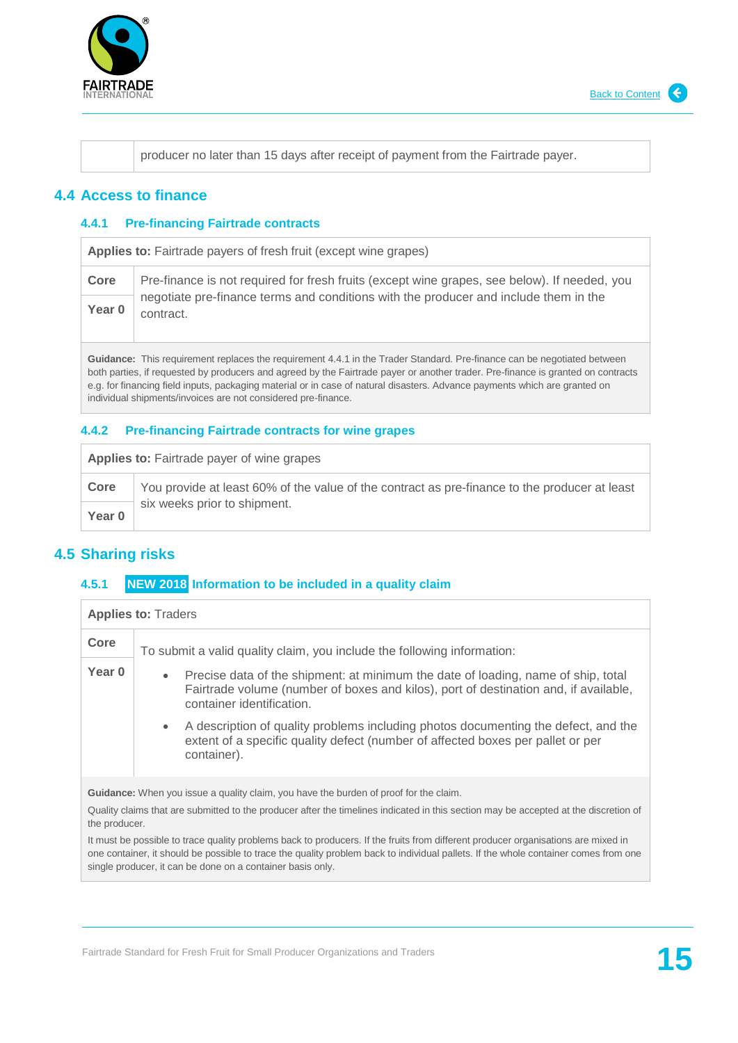

producer no later than 15 days after receipt of payment from the Fairtrade payer.

## <span id="page-14-0"></span>**4.4 Access to finance**

#### **4.4.1 Pre-financing Fairtrade contracts**

**Applies to:** Fairtrade payers of fresh fruit (except wine grapes)

| Core   | Pre-finance is not required for fresh fruits (except wine grapes, see below). If needed, you      |
|--------|---------------------------------------------------------------------------------------------------|
| Year 0 | negotiate pre-finance terms and conditions with the producer and include them in the<br>contract. |

**Guidance:** This requirement replaces the requirement 4.4.1 in the Trader Standard. Pre-finance can be negotiated between both parties, if requested by producers and agreed by the Fairtrade payer or another trader. Pre-finance is granted on contracts e.g. for financing field inputs, packaging material or in case of natural disasters. Advance payments which are granted on individual shipments/invoices are not considered pre-finance.

#### **4.4.2 Pre-financing Fairtrade contracts for wine grapes**

**Applies to:** Fairtrade payer of wine grapes

**Core** You provide at least 60% of the value of the contract as pre-finance to the producer at least six weeks prior to shipment. **Year 0**

# <span id="page-14-1"></span>**4.5 Sharing risks**

#### **4.5.1 NEW 2018 Information to be included in a quality claim**

| <b>Applies to: Traders</b>                                                                                                                                                                                                           |                                                                                                                                                                                                                                                                                                                                                                                                                          |
|--------------------------------------------------------------------------------------------------------------------------------------------------------------------------------------------------------------------------------------|--------------------------------------------------------------------------------------------------------------------------------------------------------------------------------------------------------------------------------------------------------------------------------------------------------------------------------------------------------------------------------------------------------------------------|
| Core                                                                                                                                                                                                                                 | To submit a valid quality claim, you include the following information:                                                                                                                                                                                                                                                                                                                                                  |
| Year <sub>0</sub>                                                                                                                                                                                                                    | Precise data of the shipment: at minimum the date of loading, name of ship, total<br>$\bullet$<br>Fairtrade volume (number of boxes and kilos), port of destination and, if available,<br>container identification.<br>A description of quality problems including photos documenting the defect, and the<br>$\bullet$<br>extent of a specific quality defect (number of affected boxes per pallet or per<br>container). |
| <b>Guidance:</b> When you issue a quality claim, you have the burden of proof for the claim.<br>Quality claims that are submitted to the producer after the timelines indicated in this section may be accepted at the discretion of |                                                                                                                                                                                                                                                                                                                                                                                                                          |

the producer. It must be possible to trace quality problems back to producers. If the fruits from different producer organisations are mixed in

one container, it should be possible to trace the quality problem back to individual pallets. If the whole container comes from one single producer, it can be done on a container basis only.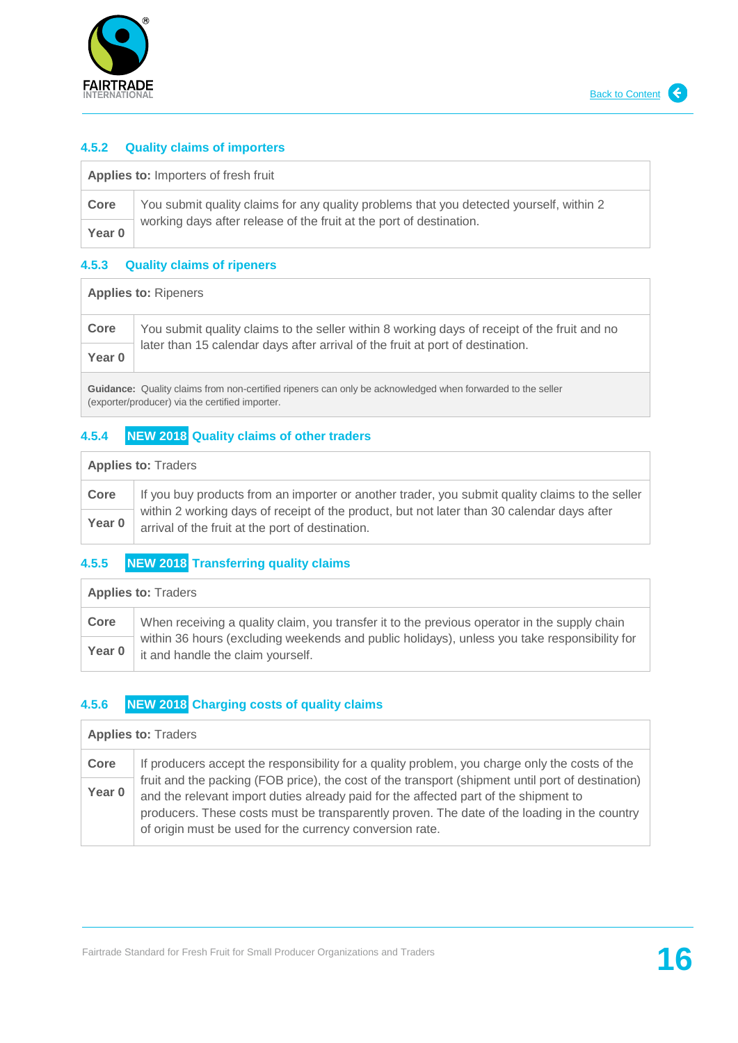

 $\overline{1}$ 

#### **4.5.2 Quality claims of importers**

| <b>Applies to: Importers of fresh fruit</b> |                                                                                         |
|---------------------------------------------|-----------------------------------------------------------------------------------------|
| Core                                        | You submit quality claims for any quality problems that you detected yourself, within 2 |
| Year 0                                      | working days after release of the fruit at the port of destination.                     |

#### **4.5.3 Quality claims of ripeners**

| <b>Applies to: Ripeners</b> |                                                                                              |
|-----------------------------|----------------------------------------------------------------------------------------------|
| Core                        | You submit quality claims to the seller within 8 working days of receipt of the fruit and no |
| Year 0                      | later than 15 calendar days after arrival of the fruit at port of destination.               |
|                             |                                                                                              |

**Guidance:** Quality claims from non-certified ripeners can only be acknowledged when forwarded to the seller (exporter/producer) via the certified importer.

## **4.5.4 NEW 2018 Quality claims of other traders**

| <b>Applies to: Traders</b> |                                                                                                                                                |
|----------------------------|------------------------------------------------------------------------------------------------------------------------------------------------|
| Core                       | If you buy products from an importer or another trader, you submit quality claims to the seller                                                |
| Year 0                     | within 2 working days of receipt of the product, but not later than 30 calendar days after<br>arrival of the fruit at the port of destination. |

# **4.5.5 NEW 2018 Transferring quality claims**

| <b>Applies to: Traders</b> |                                                                                                                                   |
|----------------------------|-----------------------------------------------------------------------------------------------------------------------------------|
| Core                       | When receiving a quality claim, you transfer it to the previous operator in the supply chain                                      |
| Year 0                     | within 36 hours (excluding weekends and public holidays), unless you take responsibility for<br>it and handle the claim yourself. |

#### **4.5.6 NEW 2018 Charging costs of quality claims**

| <b>Applies to: Traders</b> |                                                                                                                                                                                           |
|----------------------------|-------------------------------------------------------------------------------------------------------------------------------------------------------------------------------------------|
| Core                       | If producers accept the responsibility for a quality problem, you charge only the costs of the                                                                                            |
| Year 0                     | fruit and the packing (FOB price), the cost of the transport (shipment until port of destination)<br>and the relevant import duties already paid for the affected part of the shipment to |
|                            | producers. These costs must be transparently proven. The date of the loading in the country<br>of origin must be used for the currency conversion rate.                                   |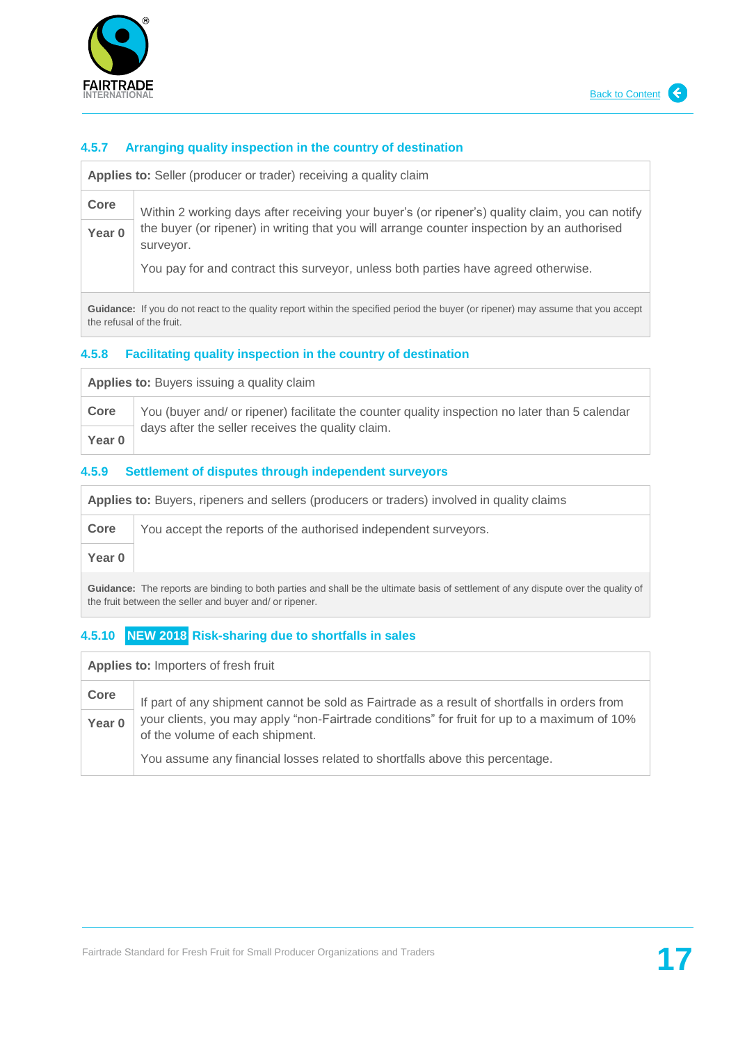

#### **4.5.7 Arranging quality inspection in the country of destination**

**Applies to:** Seller (producer or trader) receiving a quality claim

**Core** Within 2 working days after receiving your buyer's (or ripener's) quality claim, you can notify the buyer (or ripener) in writing that you will arrange counter inspection by an authorised surveyor. **Year 0**

You pay for and contract this surveyor, unless both parties have agreed otherwise.

**Guidance:** If you do not react to the quality report within the specified period the buyer (or ripener) may assume that you accept the refusal of the fruit.

#### **4.5.8 Facilitating quality inspection in the country of destination**

Applies to: Buyers issuing a quality claim **Core** You (buyer and/ or ripener) facilitate the counter quality inspection no later than 5 calendar days after the seller receives the quality claim. **Year 0**

#### **4.5.9 Settlement of disputes through independent surveyors**

**Applies to:** Buyers, ripeners and sellers (producers or traders) involved in quality claims **Core** You accept the reports of the authorised independent surveyors. **Year 0**

**Guidance:** The reports are binding to both parties and shall be the ultimate basis of settlement of any dispute over the quality of the fruit between the seller and buyer and/ or ripener.

#### **4.5.10 NEW 2018 Risk-sharing due to shortfalls in sales**

| Applies to: Importers of fresh fruit |                                                                                                                                |
|--------------------------------------|--------------------------------------------------------------------------------------------------------------------------------|
| Core                                 | If part of any shipment cannot be sold as Fairtrade as a result of shortfalls in orders from                                   |
| Year 0                               | your clients, you may apply "non-Fairtrade conditions" for fruit for up to a maximum of 10%<br>of the volume of each shipment. |
|                                      | You assume any financial losses related to shortfalls above this percentage.                                                   |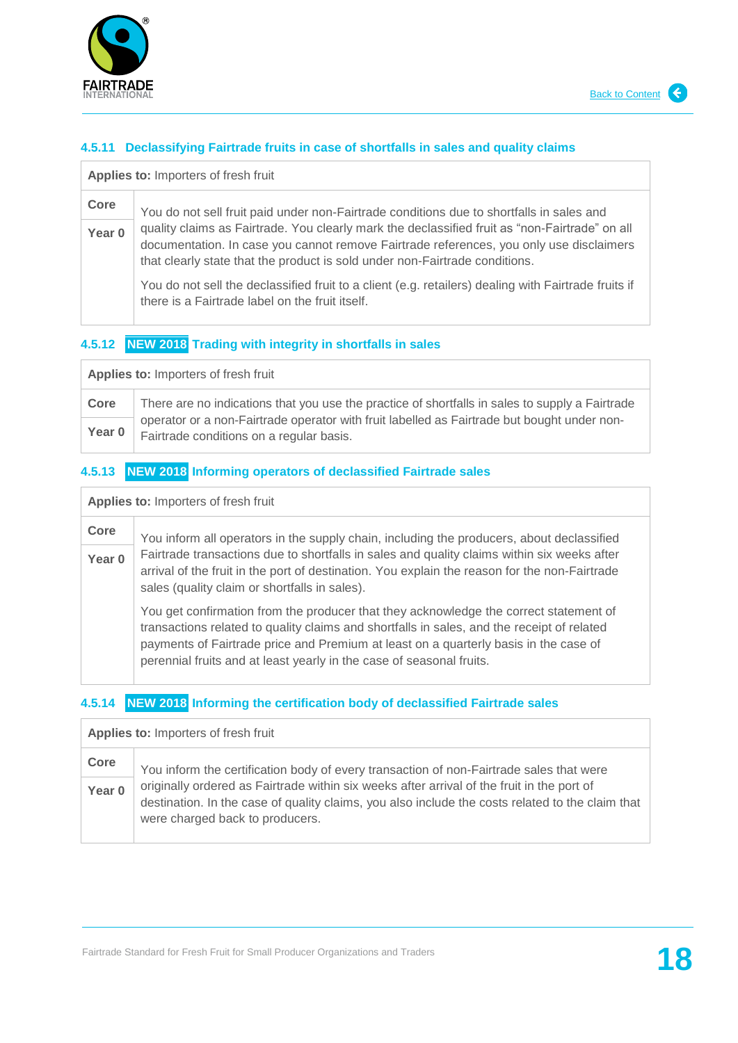

 $\overline{\phantom{a}}$ 

#### **4.5.11 Declassifying Fairtrade fruits in case of shortfalls in sales and quality claims**

| Applies to: Importers of fresh fruit |                                                                                                                                                                                                                                                                          |
|--------------------------------------|--------------------------------------------------------------------------------------------------------------------------------------------------------------------------------------------------------------------------------------------------------------------------|
| Core                                 | You do not sell fruit paid under non-Fairtrade conditions due to shortfalls in sales and                                                                                                                                                                                 |
| Year 0                               | quality claims as Fairtrade. You clearly mark the declassified fruit as "non-Fairtrade" on all<br>documentation. In case you cannot remove Fairtrade references, you only use disclaimers<br>that clearly state that the product is sold under non-Fairtrade conditions. |
|                                      | You do not sell the declassified fruit to a client (e.g. retailers) dealing with Fairtrade fruits if<br>there is a Fairtrade label on the fruit itself.                                                                                                                  |

#### **4.5.12 NEW 2018 Trading with integrity in shortfalls in sales**

| <b>Applies to: Importers of fresh fruit</b> |                                                                                                                                         |
|---------------------------------------------|-----------------------------------------------------------------------------------------------------------------------------------------|
| Core                                        | There are no indications that you use the practice of shortfalls in sales to supply a Fairtrade                                         |
| Year 0                                      | operator or a non-Fairtrade operator with fruit labelled as Fairtrade but bought under non-<br>Fairtrade conditions on a regular basis. |

# **4.5.13 NEW 2018 Informing operators of declassified Fairtrade sales**

| Applies to: Importers of fresh fruit |                                                                                                                                                                                                                                                                                                                                                     |
|--------------------------------------|-----------------------------------------------------------------------------------------------------------------------------------------------------------------------------------------------------------------------------------------------------------------------------------------------------------------------------------------------------|
| Core                                 | You inform all operators in the supply chain, including the producers, about declassified                                                                                                                                                                                                                                                           |
| Year 0                               | Fairtrade transactions due to shortfalls in sales and quality claims within six weeks after<br>arrival of the fruit in the port of destination. You explain the reason for the non-Fairtrade<br>sales (quality claim or shortfalls in sales).                                                                                                       |
|                                      | You get confirmation from the producer that they acknowledge the correct statement of<br>transactions related to quality claims and shortfalls in sales, and the receipt of related<br>payments of Fairtrade price and Premium at least on a quarterly basis in the case of<br>perennial fruits and at least yearly in the case of seasonal fruits. |

# **4.5.14 NEW 2018 Informing the certification body of declassified Fairtrade sales**

| Applies to: Importers of fresh fruit |                                                                                                                                                                                                                                   |
|--------------------------------------|-----------------------------------------------------------------------------------------------------------------------------------------------------------------------------------------------------------------------------------|
| Core                                 | You inform the certification body of every transaction of non-Fairtrade sales that were                                                                                                                                           |
| Year 0                               | originally ordered as Fairtrade within six weeks after arrival of the fruit in the port of<br>destination. In the case of quality claims, you also include the costs related to the claim that<br>were charged back to producers. |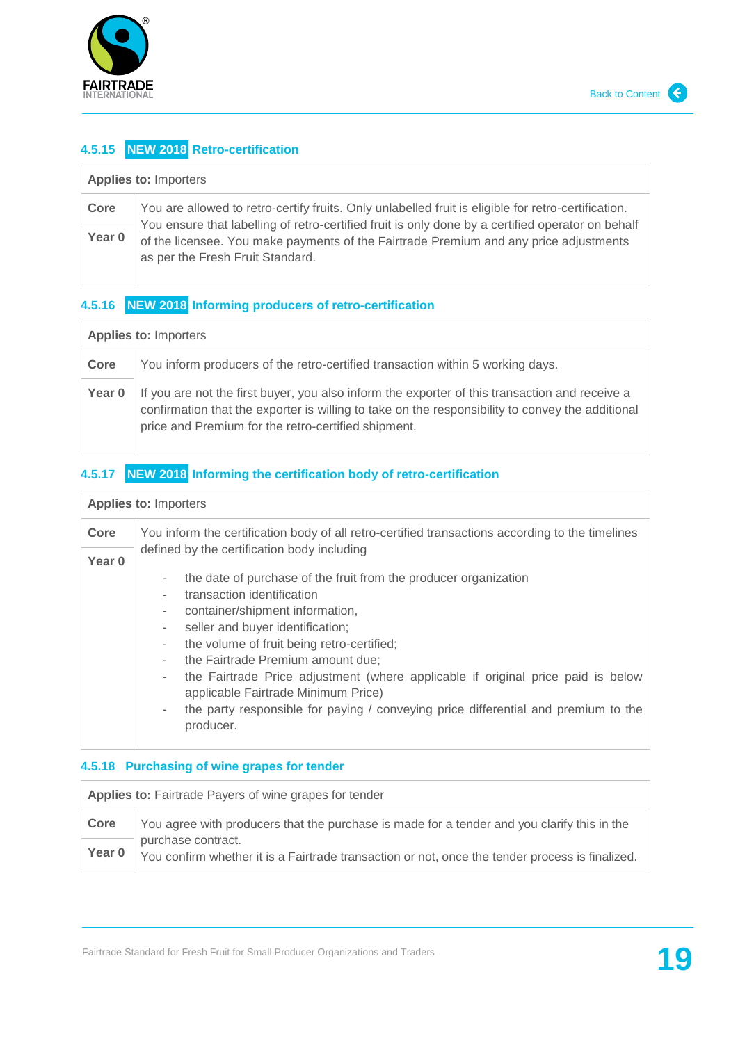

# **4.5.15 NEW 2018 Retro-certification**

| <b>Applies to: Importers</b> |                                                                                                                                                                                                                                |
|------------------------------|--------------------------------------------------------------------------------------------------------------------------------------------------------------------------------------------------------------------------------|
| Core                         | You are allowed to retro-certify fruits. Only unlabelled fruit is eligible for retro-certification.                                                                                                                            |
| Year 0                       | You ensure that labelling of retro-certified fruit is only done by a certified operator on behalf<br>of the licensee. You make payments of the Fairtrade Premium and any price adjustments<br>as per the Fresh Fruit Standard. |

# **4.5.16 NEW 2018 Informing producers of retro-certification**

| <b>Applies to: Importers</b> |                                                                                                                                                                                                                                                           |
|------------------------------|-----------------------------------------------------------------------------------------------------------------------------------------------------------------------------------------------------------------------------------------------------------|
| Core                         | You inform producers of the retro-certified transaction within 5 working days.                                                                                                                                                                            |
| Year 0                       | If you are not the first buyer, you also inform the exporter of this transaction and receive a<br>confirmation that the exporter is willing to take on the responsibility to convey the additional<br>price and Premium for the retro-certified shipment. |

# **4.5.17 NEW 2018 Informing the certification body of retro-certification**

| <b>Applies to: Importers</b> |                                                                                                                                                                                                                                                                                                                                                                                                                                                                                                                                                                                                                               |  |
|------------------------------|-------------------------------------------------------------------------------------------------------------------------------------------------------------------------------------------------------------------------------------------------------------------------------------------------------------------------------------------------------------------------------------------------------------------------------------------------------------------------------------------------------------------------------------------------------------------------------------------------------------------------------|--|
| Core                         | You inform the certification body of all retro-certified transactions according to the timelines                                                                                                                                                                                                                                                                                                                                                                                                                                                                                                                              |  |
| Year <sub>0</sub>            | defined by the certification body including<br>the date of purchase of the fruit from the producer organization<br>٠.<br>transaction identification<br>÷.<br>container/shipment information,<br>$\sim$<br>seller and buyer identification;<br>$\overline{\phantom{a}}$<br>the volume of fruit being retro-certified;<br>$\sim$<br>the Fairtrade Premium amount due;<br>the Fairtrade Price adjustment (where applicable if original price paid is below<br>$\overline{\phantom{a}}$<br>applicable Fairtrade Minimum Price)<br>the party responsible for paying / conveying price differential and premium to the<br>producer. |  |

#### **4.5.18 Purchasing of wine grapes for tender**

| <b>Applies to: Fairtrade Payers of wine grapes for tender</b> |                                                                                                                                                                                                                      |  |
|---------------------------------------------------------------|----------------------------------------------------------------------------------------------------------------------------------------------------------------------------------------------------------------------|--|
| Core                                                          | You agree with producers that the purchase is made for a tender and you clarify this in the<br>purchase contract.<br>You confirm whether it is a Fairtrade transaction or not, once the tender process is finalized. |  |
| Year 0                                                        |                                                                                                                                                                                                                      |  |